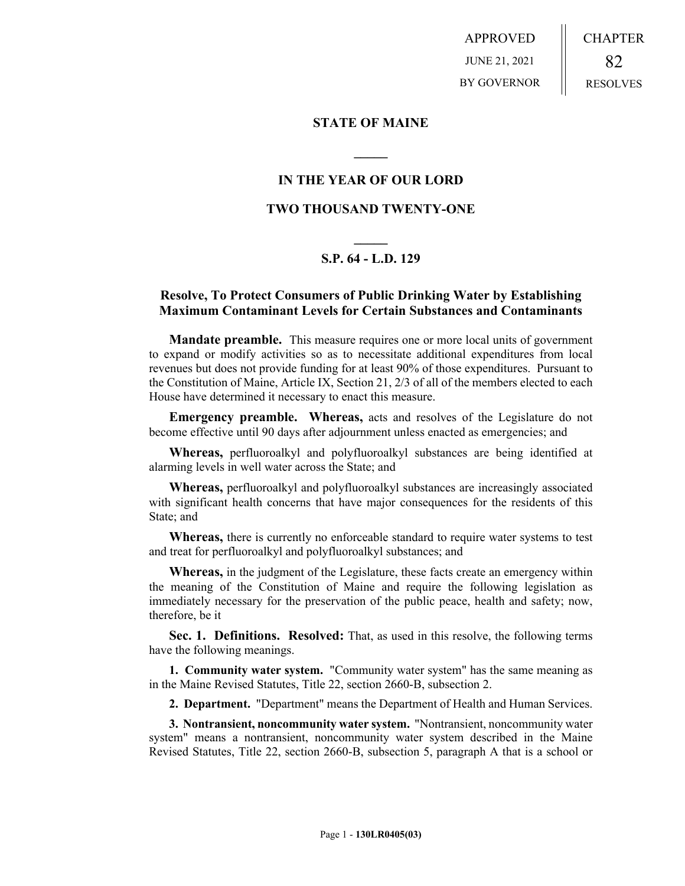APPROVED JUNE 21, 2021 BY GOVERNOR CHAPTER 82 RESOLVES

#### **STATE OF MAINE**

## **IN THE YEAR OF OUR LORD**

**\_\_\_\_\_**

## **TWO THOUSAND TWENTY-ONE**

# **\_\_\_\_\_ S.P. 64 - L.D. 129**

## **Resolve, To Protect Consumers of Public Drinking Water by Establishing Maximum Contaminant Levels for Certain Substances and Contaminants**

**Mandate preamble.** This measure requires one or more local units of government to expand or modify activities so as to necessitate additional expenditures from local revenues but does not provide funding for at least 90% of those expenditures. Pursuant to the Constitution of Maine, Article IX, Section 21, 2/3 of all of the members elected to each House have determined it necessary to enact this measure.

**Emergency preamble. Whereas,** acts and resolves of the Legislature do not become effective until 90 days after adjournment unless enacted as emergencies; and

**Whereas,** perfluoroalkyl and polyfluoroalkyl substances are being identified at alarming levels in well water across the State; and

**Whereas,** perfluoroalkyl and polyfluoroalkyl substances are increasingly associated with significant health concerns that have major consequences for the residents of this State; and

**Whereas,** there is currently no enforceable standard to require water systems to test and treat for perfluoroalkyl and polyfluoroalkyl substances; and

**Whereas,** in the judgment of the Legislature, these facts create an emergency within the meaning of the Constitution of Maine and require the following legislation as immediately necessary for the preservation of the public peace, health and safety; now, therefore, be it

**Sec. 1. Definitions. Resolved:** That, as used in this resolve, the following terms have the following meanings.

**1. Community water system.** "Community water system" has the same meaning as in the Maine Revised Statutes, Title 22, section 2660-B, subsection 2.

**2. Department.** "Department" means the Department of Health and Human Services.

**3. Nontransient, noncommunity water system.** "Nontransient, noncommunity water system" means a nontransient, noncommunity water system described in the Maine Revised Statutes, Title 22, section 2660-B, subsection 5, paragraph A that is a school or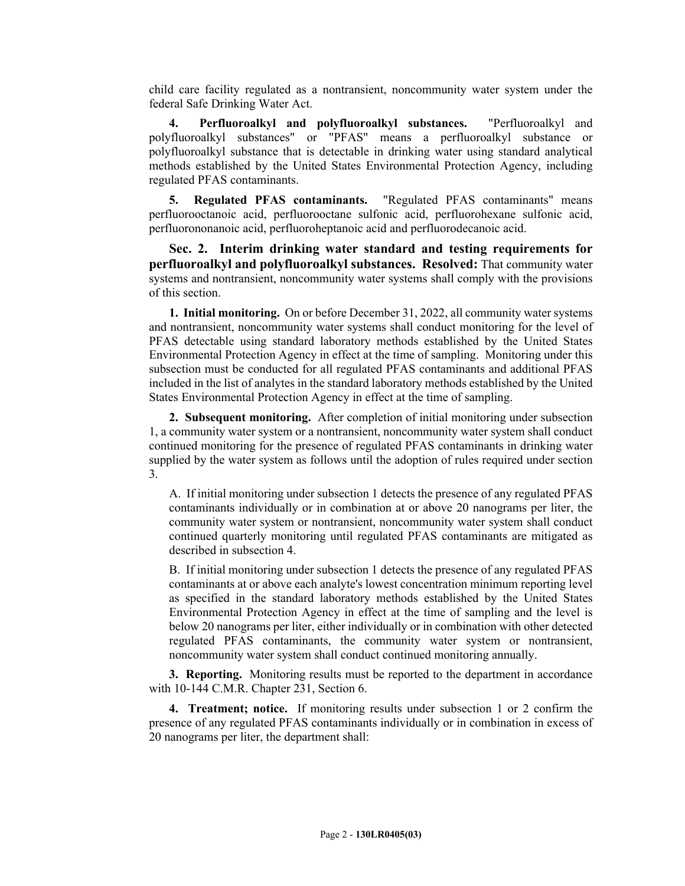child care facility regulated as a nontransient, noncommunity water system under the federal Safe Drinking Water Act.

**4. Perfluoroalkyl and polyfluoroalkyl substances.** "Perfluoroalkyl and polyfluoroalkyl substances" or "PFAS" means a perfluoroalkyl substance or polyfluoroalkyl substance that is detectable in drinking water using standard analytical methods established by the United States Environmental Protection Agency, including regulated PFAS contaminants.

**5. Regulated PFAS contaminants.** "Regulated PFAS contaminants" means perfluorooctanoic acid, perfluorooctane sulfonic acid, perfluorohexane sulfonic acid, perfluorononanoic acid, perfluoroheptanoic acid and perfluorodecanoic acid.

**Sec. 2. Interim drinking water standard and testing requirements for perfluoroalkyl and polyfluoroalkyl substances. Resolved:** That community water systems and nontransient, noncommunity water systems shall comply with the provisions of this section.

**1. Initial monitoring.** On or before December 31, 2022, all community water systems and nontransient, noncommunity water systems shall conduct monitoring for the level of PFAS detectable using standard laboratory methods established by the United States Environmental Protection Agency in effect at the time of sampling. Monitoring under this subsection must be conducted for all regulated PFAS contaminants and additional PFAS included in the list of analytes in the standard laboratory methods established by the United States Environmental Protection Agency in effect at the time of sampling.

**2. Subsequent monitoring.** After completion of initial monitoring under subsection 1, a community water system or a nontransient, noncommunity water system shall conduct continued monitoring for the presence of regulated PFAS contaminants in drinking water supplied by the water system as follows until the adoption of rules required under section 3.

A. If initial monitoring under subsection 1 detects the presence of any regulated PFAS contaminants individually or in combination at or above 20 nanograms per liter, the community water system or nontransient, noncommunity water system shall conduct continued quarterly monitoring until regulated PFAS contaminants are mitigated as described in subsection 4.

B. If initial monitoring under subsection 1 detects the presence of any regulated PFAS contaminants at or above each analyte's lowest concentration minimum reporting level as specified in the standard laboratory methods established by the United States Environmental Protection Agency in effect at the time of sampling and the level is below 20 nanograms per liter, either individually or in combination with other detected regulated PFAS contaminants, the community water system or nontransient, noncommunity water system shall conduct continued monitoring annually.

**3. Reporting.** Monitoring results must be reported to the department in accordance with 10-144 C.M.R. Chapter 231, Section 6.

**4. Treatment; notice.** If monitoring results under subsection 1 or 2 confirm the presence of any regulated PFAS contaminants individually or in combination in excess of 20 nanograms per liter, the department shall: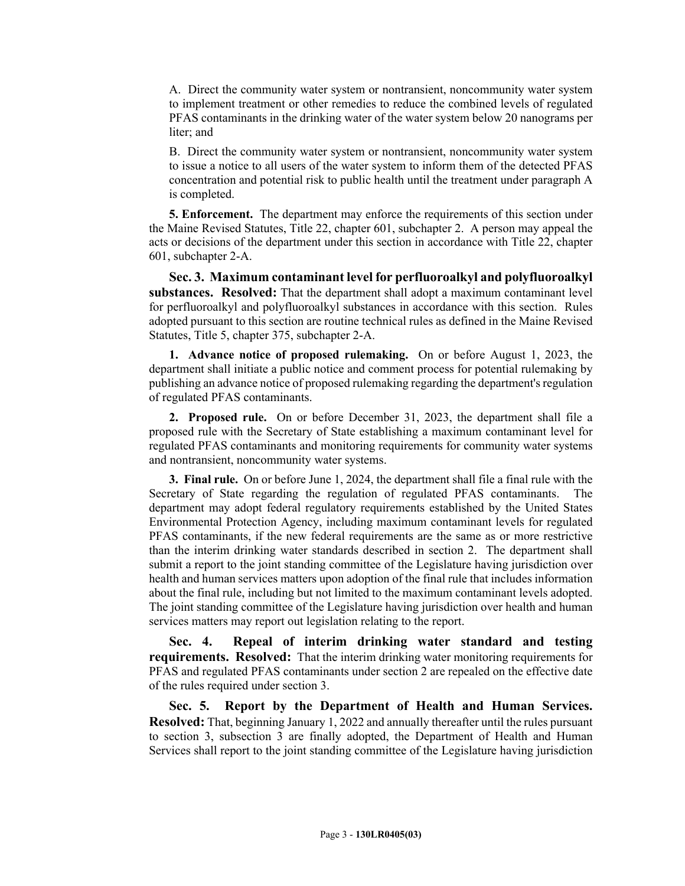A. Direct the community water system or nontransient, noncommunity water system to implement treatment or other remedies to reduce the combined levels of regulated PFAS contaminants in the drinking water of the water system below 20 nanograms per liter; and

B. Direct the community water system or nontransient, noncommunity water system to issue a notice to all users of the water system to inform them of the detected PFAS concentration and potential risk to public health until the treatment under paragraph A is completed.

**5. Enforcement.** The department may enforce the requirements of this section under the Maine Revised Statutes, Title 22, chapter 601, subchapter 2. A person may appeal the acts or decisions of the department under this section in accordance with Title 22, chapter 601, subchapter 2-A.

**Sec. 3. Maximum contaminant level for perfluoroalkyl and polyfluoroalkyl substances. Resolved:** That the department shall adopt a maximum contaminant level for perfluoroalkyl and polyfluoroalkyl substances in accordance with this section. Rules adopted pursuant to this section are routine technical rules as defined in the Maine Revised Statutes, Title 5, chapter 375, subchapter 2-A.

**1. Advance notice of proposed rulemaking.** On or before August 1, 2023, the department shall initiate a public notice and comment process for potential rulemaking by publishing an advance notice of proposed rulemaking regarding the department's regulation of regulated PFAS contaminants.

**2. Proposed rule.** On or before December 31, 2023, the department shall file a proposed rule with the Secretary of State establishing a maximum contaminant level for regulated PFAS contaminants and monitoring requirements for community water systems and nontransient, noncommunity water systems.

**3. Final rule.** On or before June 1, 2024, the department shall file a final rule with the Secretary of State regarding the regulation of regulated PFAS contaminants. The department may adopt federal regulatory requirements established by the United States Environmental Protection Agency, including maximum contaminant levels for regulated PFAS contaminants, if the new federal requirements are the same as or more restrictive than the interim drinking water standards described in section 2. The department shall submit a report to the joint standing committee of the Legislature having jurisdiction over health and human services matters upon adoption of the final rule that includes information about the final rule, including but not limited to the maximum contaminant levels adopted. The joint standing committee of the Legislature having jurisdiction over health and human services matters may report out legislation relating to the report.

**Sec. 4. Repeal of interim drinking water standard and testing requirements. Resolved:** That the interim drinking water monitoring requirements for PFAS and regulated PFAS contaminants under section 2 are repealed on the effective date of the rules required under section 3.

**Sec. 5. Report by the Department of Health and Human Services. Resolved:** That, beginning January 1, 2022 and annually thereafter until the rules pursuant to section 3, subsection 3 are finally adopted, the Department of Health and Human Services shall report to the joint standing committee of the Legislature having jurisdiction